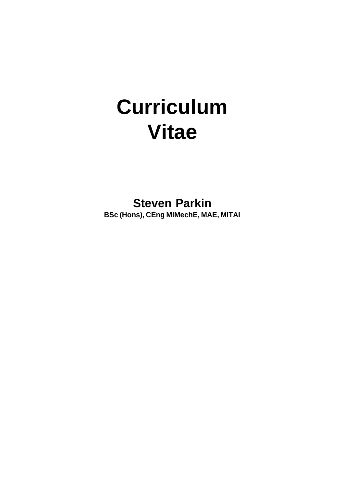# **Curriculum Vitae**

**Steven Parkin BSc (Hons), CEng MIMechE, MAE, MITAI**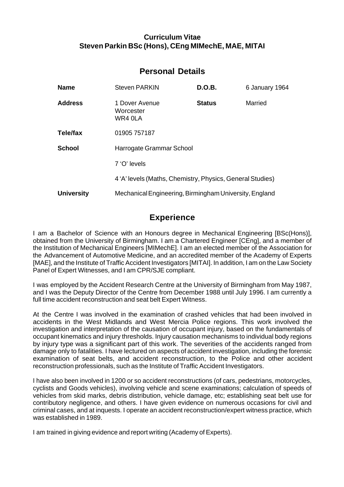# **Curriculum Vitae Steven Parkin BSc (Hons), CEng MIMechE, MAE, MITAI**

# **Personal Details**

| <b>Name</b>       | <b>Steven PARKIN</b>                                      | D.O.B.        | 6 January 1964 |
|-------------------|-----------------------------------------------------------|---------------|----------------|
| <b>Address</b>    | 1 Dover Avenue<br>Worcester<br>WR4 0LA                    | <b>Status</b> | Married        |
| Tele/fax          | 01905 757187                                              |               |                |
| <b>School</b>     | Harrogate Grammar School                                  |               |                |
|                   | 7 'O' levels                                              |               |                |
|                   | 4 'A' levels (Maths, Chemistry, Physics, General Studies) |               |                |
| <b>University</b> | Mechanical Engineering, Birmingham University, England    |               |                |

# **Experience**

I am a Bachelor of Science with an Honours degree in Mechanical Engineering [BSc(Hons)], obtained from the University of Birmingham. I am a Chartered Engineer [CEng], and a member of the Institution of Mechanical Engineers [MIMechE]. I am an elected member of the Association for the Advancement of Automotive Medicine, and an accredited member of the Academy of Experts [MAE], and the Institute of Traffic Accident Investigators [MITAI]. In addition, I am on the Law Society Panel of Expert Witnesses, and I am CPR/SJE compliant.

I was employed by the Accident Research Centre at the University of Birmingham from May 1987, and I was the Deputy Director of the Centre from December 1988 until July 1996. I am currently a full time accident reconstruction and seat belt Expert Witness.

At the Centre I was involved in the examination of crashed vehicles that had been involved in accidents in the West Midlands and West Mercia Police regions. This work involved the investigation and interpretation of the causation of occupant injury, based on the fundamentals of occupant kinematics and injury thresholds. Injury causation mechanisms to individual body regions by injury type was a significant part of this work. The severities of the accidents ranged from damage only to fatalities. I have lectured on aspects of accident investigation, including the forensic examination of seat belts, and accident reconstruction, to the Police and other accident reconstruction professionals, such as the Institute of Traffic Accident Investigators.

I have also been involved in 1200 or so accident reconstructions (of cars, pedestrians, motorcycles, cyclists and Goods vehicles), involving vehicle and scene examinations; calculation of speeds of vehicles from skid marks, debris distribution, vehicle damage, etc; establishing seat belt use for contributory negligence, and others. I have given evidence on numerous occasions for civil and criminal cases, and at inquests. I operate an accident reconstruction/expert witness practice, which was established in 1989.

I am trained in giving evidence and report writing (Academy of Experts).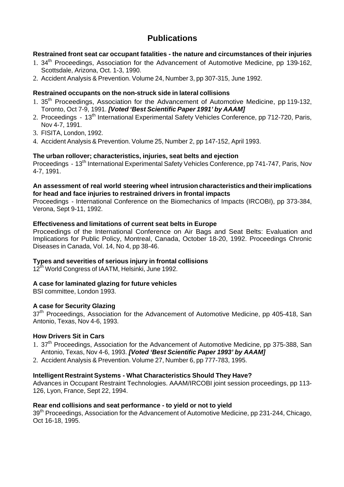# **Publications**

## **Restrained front seat car occupant fatalities - the nature and circumstances of their injuries**

- 1. 34<sup>th</sup> Proceedings, Association for the Advancement of Automotive Medicine, pp 139-162, Scottsdale, Arizona, Oct. 1-3, 1990.
- 2. Accident Analysis & Prevention. Volume 24, Number 3, pp 307-315, June 1992.

#### **Restrained occupants on the non-struck side in lateral collisions**

- 1. 35th Proceedings, Association for the Advancement of Automotive Medicine, pp 119-132, Toronto, Oct 7-9, 1991. *[Voted 'Best Scientific Paper 1991' by AAAM]*
- 2. Proceedings 13<sup>th</sup> International Experimental Safety Vehicles Conference, pp 712-720, Paris, Nov 4-7, 1991.
- 3. FISITA, London, 1992.
- 4. Accident Analysis & Prevention. Volume 25, Number 2, pp 147-152, April 1993.

#### **The urban rollover; characteristics, injuries, seat belts and ejection**

Proceedings - 13<sup>th</sup> International Experimental Safety Vehicles Conference, pp 741-747, Paris, Nov 4-7, 1991.

#### **An assessment of real world steering wheel intrusion characteristics and their implications for head and face injuries to restrained drivers in frontal impacts**

Proceedings - International Conference on the Biomechanics of Impacts (IRCOBI), pp 373-384, Verona, Sept 9-11, 1992.

#### **Effectiveness and limitations of current seat belts in Europe**

Proceedings of the International Conference on Air Bags and Seat Belts: Evaluation and Implications for Public Policy, Montreal, Canada, October 18-20, 1992. Proceedings Chronic Diseases in Canada, Vol. 14, No 4, pp 38-46.

## **Types and severities of serious injury in frontal collisions**

12<sup>th</sup> World Congress of IAATM, Helsinki, June 1992.

## **A case for laminated glazing for future vehicles**

BSI committee, London 1993.

#### **A case for Security Glazing**

37<sup>th</sup> Proceedings, Association for the Advancement of Automotive Medicine, pp 405-418, San Antonio, Texas, Nov 4-6, 1993.

#### **How Drivers Sit in Cars**

- 1. 37<sup>th</sup> Proceedings, Association for the Advancement of Automotive Medicine, pp 375-388, San Antonio, Texas, Nov 4-6, 1993. *[Voted 'Best Scientific Paper 1993' by AAAM]*
- 2. Accident Analysis & Prevention. Volume 27, Number 6, pp 777-783, 1995.

## **Intelligent Restraint Systems - What Characteristics Should They Have?**

Advances in Occupant Restraint Technologies. AAAM/IRCOBI joint session proceedings, pp 113- 126, Lyon, France, Sept 22, 1994.

#### **Rear end collisions and seat performance - to yield or not to yield**

39<sup>th</sup> Proceedings, Association for the Advancement of Automotive Medicine, pp 231-244, Chicago, Oct 16-18, 1995.